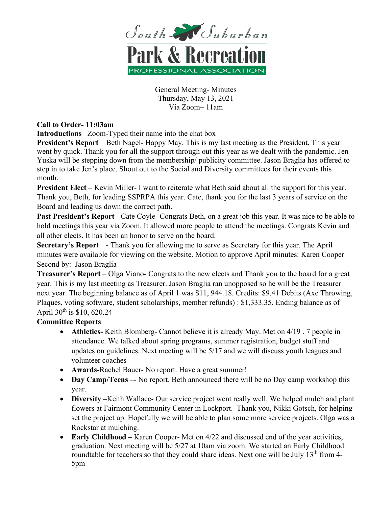

General Meeting- Minutes Thursday, May 13, 2021 Via Zoom– 11am

## **Call to Order- 11:03am**

**Introductions** –Zoom-Typed their name into the chat box

**President's Report** – Beth Nagel- Happy May. This is my last meeting as the President. This year went by quick. Thank you for all the support through out this year as we dealt with the pandemic. Jen Yuska will be stepping down from the membership/ publicity committee. Jason Braglia has offered to step in to take Jen's place. Shout out to the Social and Diversity committees for their events this month.

**President Elect –** Kevin Miller- I want to reiterate what Beth said about all the support for this year. Thank you, Beth, for leading SSPRPA this year. Cate, thank you for the last 3 years of service on the Board and leading us down the correct path.

**Past President's Report** - Cate Coyle- Congrats Beth, on a great job this year. It was nice to be able to hold meetings this year via Zoom. It allowed more people to attend the meetings. Congrats Kevin and all other elects. It has been an honor to serve on the board.

**Secretary's Report** - Thank you for allowing me to serve as Secretary for this year. The April minutes were available for viewing on the website. Motion to approve April minutes: Karen Cooper Second by: Jason Braglia

**Treasurer's Report** – Olga Viano- Congrats to the new elects and Thank you to the board for a great year. This is my last meeting as Treasurer. Jason Braglia ran unopposed so he will be the Treasurer next year. The beginning balance as of April 1 was \$11, 944.18. Credits: \$9.41 Debits (Axe Throwing, Plaques, voting software, student scholarships, member refunds) : \$1,333.35. Ending balance as of April  $30^{th}$  is \$10, 620.24

## **Committee Reports**

- **Athletics-** Keith Blomberg- Cannot believe it is already May. Met on 4/19 . 7 people in attendance. We talked about spring programs, summer registration, budget stuff and updates on guidelines. Next meeting will be 5/17 and we will discuss youth leagues and volunteer coaches
- **Awards-**Rachel Bauer- No report. Have a great summer!
- **Day Camp/Teens** -- No report. Beth announced there will be no Day camp workshop this year.
- **Diversity –**Keith Wallace- Our service project went really well. We helped mulch and plant flowers at Fairmont Community Center in Lockport. Thank you, Nikki Gotsch, for helping set the project up. Hopefully we will be able to plan some more service projects. Olga was a Rockstar at mulching.
- **Early Childhood** Karen Cooper- Met on 4/22 and discussed end of the year activities, graduation. Next meeting will be 5/27 at 10am via zoom. We started an Early Childhood roundtable for teachers so that they could share ideas. Next one will be July  $13<sup>th</sup>$  from 4-5pm